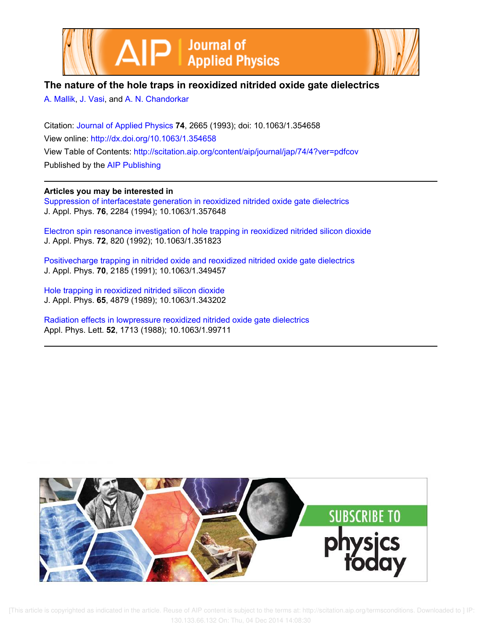



# **The nature of the hole traps in reoxidized nitrided oxide gate dielectrics**

A. Mallik, J. Vasi, and A. N. Chandorkar

Citation: Journal of Applied Physics **74**, 2665 (1993); doi: 10.1063/1.354658 View online: http://dx.doi.org/10.1063/1.354658 View Table of Contents: http://scitation.aip.org/content/aip/journal/jap/74/4?ver=pdfcov Published by the AIP Publishing

**Articles you may be interested in**

Suppression of interfacestate generation in reoxidized nitrided oxide gate dielectrics J. Appl. Phys. **76**, 2284 (1994); 10.1063/1.357648

Electron spin resonance investigation of hole trapping in reoxidized nitrided silicon dioxide J. Appl. Phys. **72**, 820 (1992); 10.1063/1.351823

Positivecharge trapping in nitrided oxide and reoxidized nitrided oxide gate dielectrics J. Appl. Phys. **70**, 2185 (1991); 10.1063/1.349457

Hole trapping in reoxidized nitrided silicon dioxide J. Appl. Phys. **65**, 4879 (1989); 10.1063/1.343202

Radiation effects in lowpressure reoxidized nitrided oxide gate dielectrics Appl. Phys. Lett. **52**, 1713 (1988); 10.1063/1.99711



 [This article is copyrighted as indicated in the article. Reuse of AIP content is subject to the terms at: http://scitation.aip.org/termsconditions. Downloaded to ] IP: 130.133.66.132 On: Thu, 04 Dec 2014 14:08:30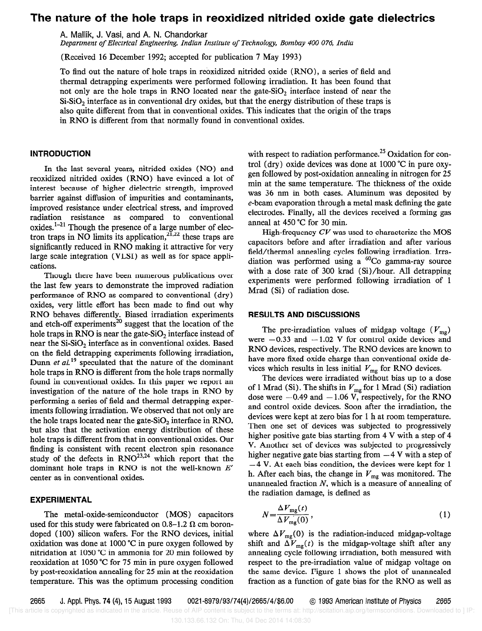## The nature of the hole traps in reoxidized nitrided oxide gate dielectrics

A. Mallik, J. Vasi, and A. N. Chandorkar

Department of Electrical Engineering, Indian Institute of Technology, Bombay 400 076, India

(Received 16 December 1992; accepted for publication 7 May 1993)

To find out the nature of hole traps in reoxidized nitrided oxide (RNO), a series of field and thermal detrapping experiments were performed following irradiation. It has been found that not only are the hole traps in RNO located near the gate-SiO<sub>2</sub> interface instead of near the  $Si-SiO<sub>2</sub>$  interface as in conventional dry oxides, but that the energy distribution of these traps is also quite different from that in conventional oxides. This indicates that the origin of the traps in RN0 is different from that normally found in conventional oxides.

## INTRODUCTION

In the last several years, nitrided oxides (NO) and reoxidized nitrided oxides (RNO) have evinced a lot of interest because of higher dielectric strength, improved barrier against diffusion of impurities and contaminants, improved resistance under electrical stress, and improved radiation resistance as compared to conventional oxides. $1-21$  Though the presence of a large number of electron traps in NO limits its application,  $2\overline{1}, 22$  these traps are significantly reduced in RN0 making it attractive for very large scale integration (VLSI) as well as for space applications.

Though there have been numerous publications over the last few years to demonstrate the improved radiation performance of RN0 as compared to conventional (dry) oxides, very little effort has been made to find out why RN0 behaves differently. Biased irradiation experiments and etch-off experiments<sup>20</sup> suggest that the location of the hole traps in RN0 is near the gate-SiO, interface instead of near the  $Si-SiO<sub>2</sub>$  interface as in conventional oxides. Based on the field detrapping experiments following irradiation, Dunn et  $al$ <sup>19</sup> speculated that the nature of the dominant hole traps in RNO is different from the hole traps normally found in conventional oxides. In this paper we report an investigation of the nature of the hole traps in RN0 by performing a series of field and thermal detrapping experiments following irradiation. We observed that not only are the hole traps located near the gate-SiO<sub>2</sub> interface in RNO, but also that the activation energy distribution of these hole traps is different from that in conventional oxides. Our finding is consistent with recent electron spin resonance study of the defects in  $RNO^{23,24}$  which report that the dominant hole traps in RNO is not the well-known  $E'$ center as in conventional oxides.

## EXPERIMENTAL

The metal-oxide-semiconductor (MOS) capacitors used for this study were fabricated on 0.8–1.2  $\Omega$  cm borondoped ( 100) silicon wafers. For the RN0 devices, initial oxidation was done at 1000 "C in pure oxygen followed by nitridation at 1050 "C in ammonia for 20 min followed by reoxidation at 1050 °C for 75 min in pure oxygen followed by post-reoxidation annealing for 25 min at the reoxidation temperature. This was the optimum processing condition with respect to radiation performance.<sup>25</sup> Oxidation for control (dry) oxide devices was done at 1000 "C in pure oxygen followed by post-oxidation annealing in nitrogen for 25 min at the same temperature. The thickness of the oxide was 36 nm in both cases. Aluminum was deposited by e-beam evaporation through a metal mask defining the gate electrodes. Finally, all the devices received a forming gas anneal at 450 "C for 30 min.

High-frequency  $CV$  was used to characterize the MOS capacitors before and after irradiation and after various field/thermal annealing cycles following irradiation. Irradiation was performed using a  ${}^{60}Co$  gamma-ray source with a dose rate of 300 krad (Si)/hour. All detrapping experiments were performed following irradiation of 1 Mrad (Si) of radiation dose.

#### RESULTS AND DISCUSSIONS

The pre-irradiation values of midgap voltage  $(V_{mg})$ were  $-0.33$  and  $-1.02$  V for control oxide devices and RN0 devices, respectively. The RN0 devices are known to have more fixed oxide charge than conventional oxide devices which results in less initial  $V_{mg}$  for RNO devices.

The devices were irradiated without bias up to a dose of 1 Mrad (Si). The shifts in  $V_{mg}$  for 1 Mrad (Si) radiation dose were  $-0.49$  and  $-1.06$  V, respectively, for the RNO and control oxide devices. Soon after the irradiation, the devices were kept at zero bias for 1 h at room temperature. Then one set of devices was subjected to progressively higher positive gate bias starting from 4 V with a step of 4 V. Another set of devices was subjected to progressively higher negative gate bias starting from  $-4$  V with a step of  $-4$  V. At each bias condition, the devices were kept for 1 h. After each bias, the change in  $V_{mg}$  was monitored. The unannealed fraction  $N$ , which is a measure of annealing of the radiation damage, is defined as

$$
N = \frac{\Delta V_{\text{mg}}(t)}{\Delta V_{\text{mg}}(0)},\tag{1}
$$

where  $\Delta V_{mg}(0)$  is the radiation-induced midgap-voltage shift and  $\Delta V_{mg}(t)$  is the midgap-voltage shift after any annealing cycle following irradiation, both measured with respect to the pre-irradiation value of midgap voltage on the same device. Figure 1 shows the plot of unannealed fraction as a function of gate bias for the RN0 as well as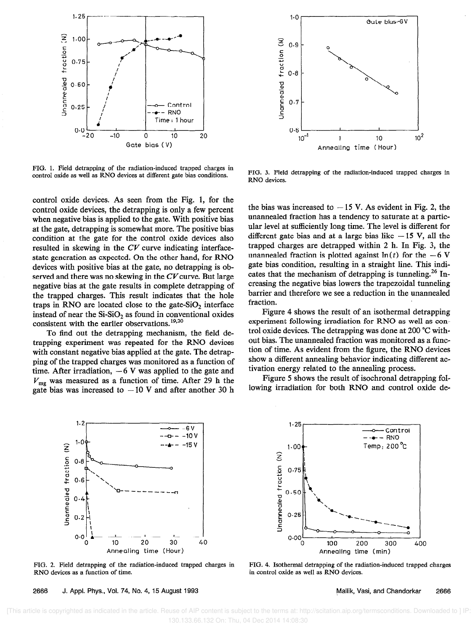

FIG. 1. Field detrapping of the radiation-induced trapped charges in control oxide as well as RN0 devices at different gate bias conditions.

control oxide devices. As seen from the Fig. 1, for the control oxide devices, the detrapping is only a few percent when negative bias is applied to the gate. With positive bias at the gate, detrapping is somewhat more. The positive bias condition at the gate for the control oxide devices also resulted in skewing in the CV curve indicating interfacestate generation as expected. On the other hand, for RN0 devices with positive bias at the gate, no detrapping is observed and there was no skewing in the  $CV$  curve. But large negative bias at the gate results in complete detrapping of the trapped charges. This result indicates that the hole traps in RNO are located close to the gate-SiO<sub>2</sub> interface instead of near the  $Si-SiO<sub>2</sub>$  as found in conventional oxides consistent with the earlier observations.  $^{19,20}$ 

To find out the detrapping mechanism, the field detrapping experiment was repeated for the RN0 devices with constant negative bias applied at the gate. The detrapping of the trapped charges was monitored as a function of time. After irradiation,  $-6$  V was applied to the gate and  $V_{mg}$  was measured as a function of time. After 29 h the gate bias was increased to  $-10$  V and after another 30 h



FIG. 2. Field detrapping of the radiation-induced trapped charges in RN0 devices as a function of time.

2666 J. Appl. Phys., Vol. 74, No. 4, 15 August 1993



FIG. 3. Field detrapping of the radiation-induced trapped charges in RN0 devices.

the bias was increased to  $-15$  V. As evident in Fig. 2, the unarmealed fraction has a tendency to saturate at a particular level at sufficiently long time. The level is different for different gate bias and at a large bias like  $-15$  V, all the trapped charges are detrapped within 2 h. In Fig. 3, the unannealed fraction is plotted against  $ln(t)$  for the  $-6$  V gate bias condition, resulting in a straight line. This indicates that the mechanism of detrapping is tunneling.<sup>26</sup> Increasing the negative bias lowers the trapezoidal tunneling barrier and therefore we see a reduction in the unannealed fraction.

Figure 4 shows the result of an isothermal detrapping experiment following irradiation for RN0 as well as control oxide devices. The detrapping was done at 200 "C without bias. The unannealed fraction was monitored as a function of time. As evident from the figure, the RN0 devices show a different annealing behavior indicating different activation energy related to the annealing process.

Figure 5 shows the result of isochronal detrapping following irradiation for both RN0 and control oxide de-



FIG. 4. Isothermal detrapping of the radiation-induced trapped charges in control oxide as well as RN0 devices.

Mallik, Vasi, and Chandorkar 2666

 [This article is copyrighted as indicated in the article. Reuse of AIP content is subject to the terms at: http://scitation.aip.org/termsconditions. Downloaded to ] IP: 130.133.66.132 On: Thu, 04 Dec 2014 14:08:30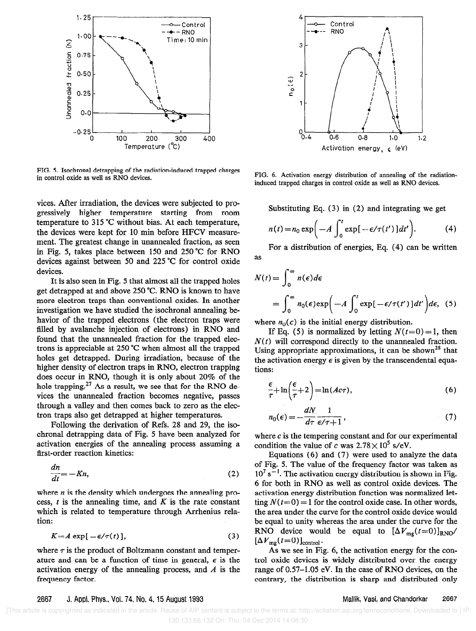

FIG. 5. Isochronal detrapping of the radiation-induced trapped charges in control oxide as well as RN0 devices.

vices. After irradiation, the devices were subjected to progressively higher temperature starting from room temperature to 315 "C without bias. At each temperature, the devices were kept for 10 min before HFCV measurement. The greatest change in unannealed fraction, as seen in Fig, 5, takes place between 150 and 250 "C for RN0 devices against between 50 and 225 "C for control oxide devices.

It is also seen in Fig. 5 that almost all the trapped holes get detrapped at and above 250 "C. RN0 is known to have more electron traps than conventional oxides. In another investigation we have studied the isochronal annealing behavior of the trapped electrons (the electron traps were filled by avalanche injection of electrons) in RNO and found that the unannealed fraction for the trapped electrons is appreciable at 250 "C when almost all the trapped holes get detrapped. During irradiation, because of the higher density of electron traps in RNO, electron trapping does occur in RNO, though it is only about 20% of the hole trapping.<sup>27</sup> As a result, we see that for the RNO devices the unannealed fraction becomes negative, passes through a valley and then comes back to zero as the electron traps also get detrapped at higher temperatures.

Following the derivation of Refs. 28 and 29, the isochronal detrapping data of Fig. 5 have been analyzed for activation energies of the annealing process assuming a first-order reaction kinetics:

$$
\frac{dn}{dt} = -Kn,\tag{2}
$$

where  $n$  is the density which undergoes the annealing process,  $t$  is the annealing time, and  $K$  is the rate constant which is related to temperature through Arrhenius relation:

$$
K = A \exp[-\epsilon/\tau(t)], \qquad (3)
$$

where  $\tau$  is the product of Boltzmann constant and temper-<br>ature and can be a function of time in general,  $\epsilon$  is the



FIG. 6. Activation energy distribution of annealing of the radiationinduced trapped charges in control oxide as well as RN0 devices.

Substituting Eq. (3) in (2) and integrating we get

$$
n(t) = n_0 \exp\bigg(-A \int_0^t \exp[-\epsilon/\tau(t')] dt'\bigg). \tag{4}
$$

For a distribution of energies, Eq. (4) can be written as

$$
N(t) = \int_0^\infty n(\epsilon) d\epsilon
$$
  
= 
$$
\int_0^\infty n_0(\epsilon) \exp\left(-A \int_0^t \exp[-\epsilon/\tau(t')] dt'\right) d\epsilon, (5)
$$

where  $n_0(\epsilon)$  is the initial energy distribution.

If Eq. (5) is normalized by letting  $N(t=0) = 1$ , then  $N(t)$  will correspond directly to the unannealed fraction. Using appropriate approximations, it can be shown<sup>28</sup> that the activation energy  $\epsilon$  is given by the transcendental equations:

$$
\frac{\epsilon}{\tau} + \ln\left(\frac{\epsilon}{\tau} + 2\right) = \ln(Ac\tau),\tag{6}
$$

$$
n_0(\epsilon) = -\frac{dN}{d\tau} \frac{1}{\epsilon/\tau + 1},\tag{7}
$$

where  $c$  is the tempering constant and for our experimental condition the value of c was  $2.78 \times 10^5$  s/eV.

Equations (6) and (7) were used to analyze the data of Fig. 5. The value of the frequency factor was taken as  $10^7$  s<sup>-1</sup>. The activation energy distribution is shown in Fig. 6 for both in RN0 as well as control oxide devices. The activation energy distribution function was normalized letting  $N(t=0) = 1$  for the control oxide case. In other words, the area under the curve for the control oxide device would be equal to unity whereas the area under the curve for the RNO device would be equal to  $[\Delta V_{mg}(t=0)]_{RNO}$  $[\Delta V_{mg}(t=0)]_{\text{control}}$ .<br>As we see in Fig. 6, the activation energy for the con-

trol oxide devices is widely distributed over the energy activation energy of the annealing process, and A is the range of 0.57-1.05 eV. In the case of RNO devices, on the frequency factor. contrary, the distribution is sharp and distributed only

## 2667 J. Appl. Phys., Vol.74, No. 4, 15 August 1993

#### Mallik, Vasi, and Chandorkar 2667

 [This article is copyrighted as indicated in the article. Reuse of AIP content is subject to the terms at: http://scitation.aip.org/termsconditions. Downloaded to ] IP: 130.133.66.132 On: Thu, 04 Dec 2014 14:08:30